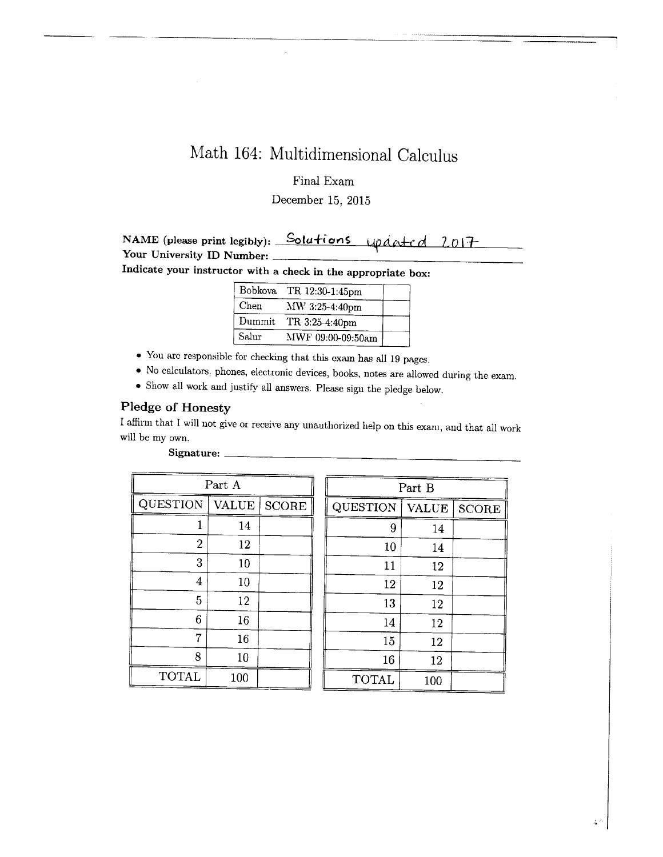# Math 164: Multidimensional Calculus

# Final Exam

# December 15, 2015

| NAME (please print legibly): Solutions updeted 2017 |  |  |
|-----------------------------------------------------|--|--|
| Your University ID Number:                          |  |  |
| Indicate your instruction $(1, 1, 1, 1)$            |  |  |

Indicate your instructor with a check in the appropriate box:

| <b>Bobkova</b> | TR 12:30-1:45pm   |  |
|----------------|-------------------|--|
| Chen           | MW 3:25-4:40pm    |  |
| Dummit         | TR 3:25-4:40pm    |  |
| Salur          | MWF 09:00-09:50am |  |

- $\bullet\,$  You are responsible for checking that this exam has all 19 pages.
- a No calculators, phones, electronic devices, books, notes are allowed during the exam.
- $\bullet\,$  Show all work and justify all answers. Please sign the pledge below.

# Pledge of Honesty

I affirm that I will not give or receive any unauthorized help on this exam, and that all work will be my own.

| Part A          |              |              | Part B       |         |
|-----------------|--------------|--------------|--------------|---------|
| <b>QUESTION</b> | <b>VALUE</b> | <b>SCORE</b> | QUESTION     | VALUI   |
|                 | 14           |              |              | 9<br>14 |
| $\overline{2}$  | 12           |              | 10           | 14      |
| 3               | 10           |              | 11           | 12      |
| 4               | 10           |              | 12           | 12      |
| 5               | 12           |              | 13           | 12      |
| 6               | 16           |              | 14           | 12      |
| 7               | 16           |              | 15           | 12      |
| 8               | 10           |              | 16           | 12      |
| <b>TOTAL</b>    | 100          |              | <b>TOTAL</b> | 100     |

| Part A         |              | Part B       |              |              |              |
|----------------|--------------|--------------|--------------|--------------|--------------|
| QUESTION       | <b>VALUE</b> | <b>SCORE</b> | QUESTION     | <b>VALUE</b> | <b>SCORE</b> |
|                | 14           |              | 9            | 14           |              |
| $\overline{2}$ | 12           |              | 10           | 14           |              |
| 3              | 10           |              | 11           | 12           |              |
| 4              | 10           |              | 12           | 12           |              |
| 5              | 12           |              | 13           | 12           |              |
| 6              | 16           |              | 14           | 12           |              |
| 7              | 16           |              | 15           | 12           |              |
| 8              | 10           |              | 16           | 12           |              |
| <b>TOTAL</b>   | 100          |              | <b>TOTAL</b> | 100          |              |

Signature: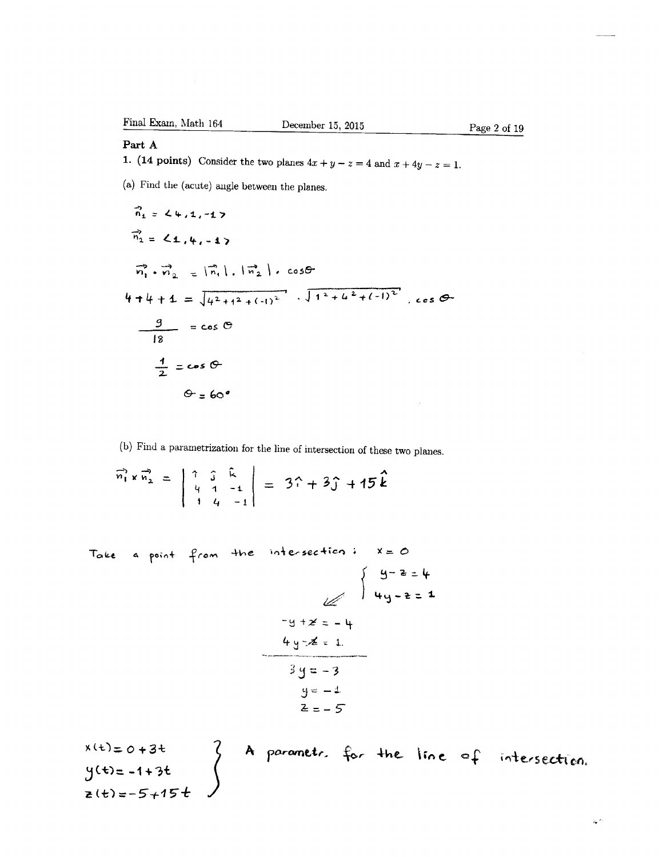# Part A

1. (14 points) Consider the two planes  $4x + y - z = 4$  and  $x + 4y - z = 1$ .

(a) Find the (acute) angle between the planes.

$$
\vec{n}_1 = 24, 1, -1
$$
\n
$$
\vec{n}_2 = 24, 4, -1
$$
\n
$$
\vec{n}_1 \cdot \vec{n}_2 = [\vec{n}_1], [\vec{n}_2], \cos\theta
$$
\n
$$
4 + 4 + 4 = \sqrt{4^2 + 1^2 + (-1)^2}, \sqrt{1^2 + 4^2 + (-1)^2}, \cos\theta
$$
\n
$$
\frac{9}{2} = \cos\theta
$$
\n
$$
\frac{4}{2} = \cos\theta
$$
\n
$$
\theta = 60^\circ
$$

(b) Find a parametrization for the line of intersection of these two planes.

 $\widehat{n_1} \times \widehat{n_2} = \begin{vmatrix} 1 & 2 & k \\ 4 & 1 & -1 \\ 1 & 4 & -1 \end{vmatrix} = 3\widehat{n} + 3\widehat{j} + 15\widehat{k}$ 

Take a point from the intersection: x=0

 $x(t)=0+3t$ <br>  $y(t)=-1+3t$ <br>  $z(t)=-5+15t$ A parametr. for the line of intersection.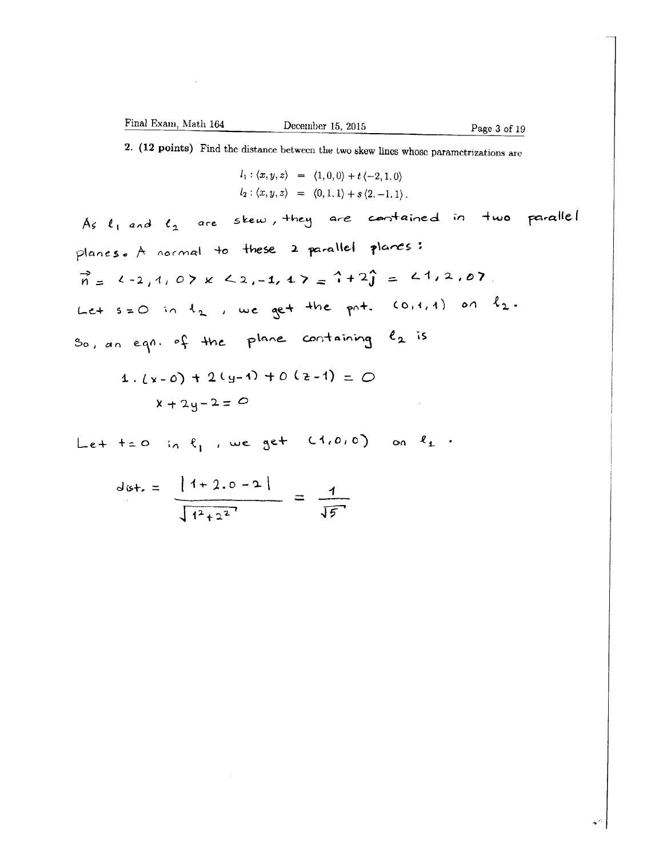2. (12 points) Find the distance between the two skew lines whose parametrizations are

$$
l_1: \langle x, y, z \rangle = \langle 1, 0, 0 \rangle + t \langle -2, 1, 0 \rangle
$$
  

$$
l_2: \langle x, y, z \rangle = \langle 0, 1, 1 \rangle + s \langle 2, -1, 1 \rangle.
$$

As  $\ell_1$  and  $\ell_2$  are skew, they are contained in two parallel planes. A normal to these 2 parallel planes:  $\vec{n} = 1 - 2, 1, 0 \times 12, -1, 1 \times 2 = 1 + 2\hat{j} = 1.1, 2.07$ Let  $s=0$  in  $t_2$ , we get the pnt.  $(0,1,1)$  on  $\ell_2$ . So, an eqn. of the plane containing  $e_2$  is

$$
4 \cdot (x - 0) + 2(y - 1) + 0 (2 - 1) = 0
$$
  

$$
x + 2y - 2 = 0
$$

Let tell in  $\ell_1$ , we get  $(1,0,0)$  on  $\ell_1$ .

$$
dist. = \frac{|1+2.0-2|}{\sqrt{1^2+2^2}} = \frac{1}{\sqrt{5}}
$$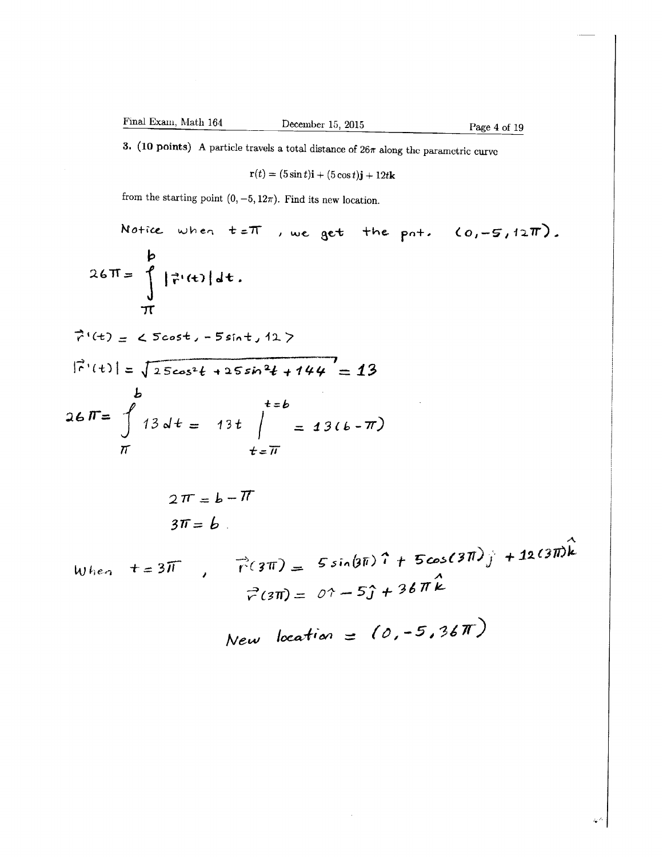Page 4 of 19

 $\ddot{\bullet}$ 

3. (10 points) A particle travels a total distance of  $26\pi$  along the parametric curve

$$
\mathbf{r}(t) = (5\sin t)\mathbf{i} + (5\cos t)\mathbf{j} + 12t\mathbf{k}
$$

from the starting point  $(0, -5, 12\pi)$ . Find its new location.

Notice when 
$$
t=T
$$
, we get the part. (0,-5,12T).  
\nb  
\n $26T = \int_{T} |\vec{r}(t)| dt$ .  
\n $\vec{r}'(t) = \sqrt{25\cos^2 t - 5\sin t} + 127$   
\n $|\vec{r}'(t)| = \sqrt{25\cos^2 t + 25\sin^2 t + 144} = 13$   
\nb  
\n $t=b$   
\n $2F = \int_{T} 13 dt = 13t \int_{t=T}^{t=b} = 13(t-T)$   
\n $2T = b-T$   
\n $3T = b$ .  
\nWhen  $t = 3T$ ,  $\vec{r}(3T) = 5\sin(9T)\hat{i} + 5\cos(3T)\hat{j} + 12(3T)\hat{k}$   
\n $\vec{r}(3T) = 0\hat{i} - 5\hat{j} + 36T\hat{k}$   
\nNew location = (0,-5,36T)

 $\bar{\lambda}$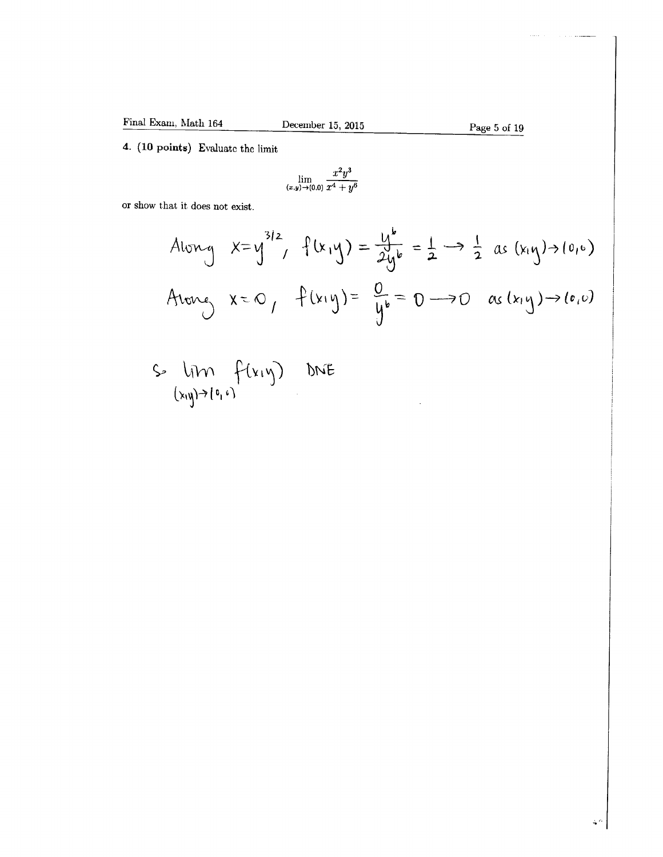Page 5 of 19

4. (10 points) Evaluate the limit

$$
\lim_{(x,y)\to(0,0)}\frac{x^2y^3}{x^4+y^6}
$$

or Show that it does not exist.

$$
A_{\text{long}} \quad x=y^{3/2}, \quad f(x,y) = \frac{y}{2y^{b}} = \frac{1}{2} \rightarrow \frac{1}{2} \text{ as } (x_{1}y) \rightarrow (0,6)
$$
\n
$$
A_{\text{long}} \quad x = 0, \quad f(x,y) = \frac{0}{y^{b}} = 0 \rightarrow 0 \quad \text{as } (x_{1}y) \rightarrow (0,0)
$$

 $S = \lim_{(x,y)\to (0,1)} f(x,y)$ DNE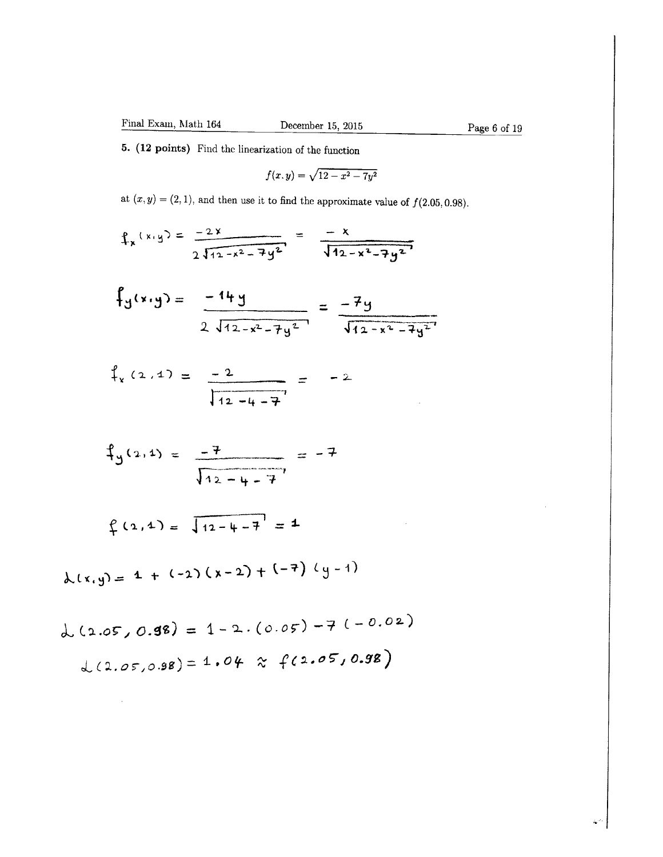5. (12 points) Find the linearization of the function

$$
f(x,y)=\sqrt{12-x^2-7y^2}
$$

at  $(x, y) = (2, 1)$ , and then use it to find the approximate value of  $f(2.05, 0.98)$ .

$$
f_x(x,y) = \frac{-2x}{2\sqrt{12-x^2-7y^2}} = \frac{-x}{\sqrt{12-x^2-7y^2}}
$$

$$
f_y(x,y) = \frac{-14y}{2\sqrt{12-x^2-7y^2}} = \frac{-7y}{\sqrt{12-x^2-7y^2}}
$$

$$
\int_{x} (2.4) = \frac{-2}{\sqrt{12 - 4 - 7}} = -2
$$

$$
\oint_{y}(2,1) = \frac{-7}{\sqrt{12 - 4 - 7}} = -7
$$

$$
\oint (2, 4) = \sqrt{12 - 4 - 7} = 4
$$

$$
\lambda(x,y) = 1 + (-2)(x-2) + (-7) (y-1)
$$

$$
L(2.05, 0.98) = 1 - 2. (0.05) - 7 (-0.02)
$$
  

$$
L(2.05, 0.98) = 1.04 \approx f(2.05, 0.98)
$$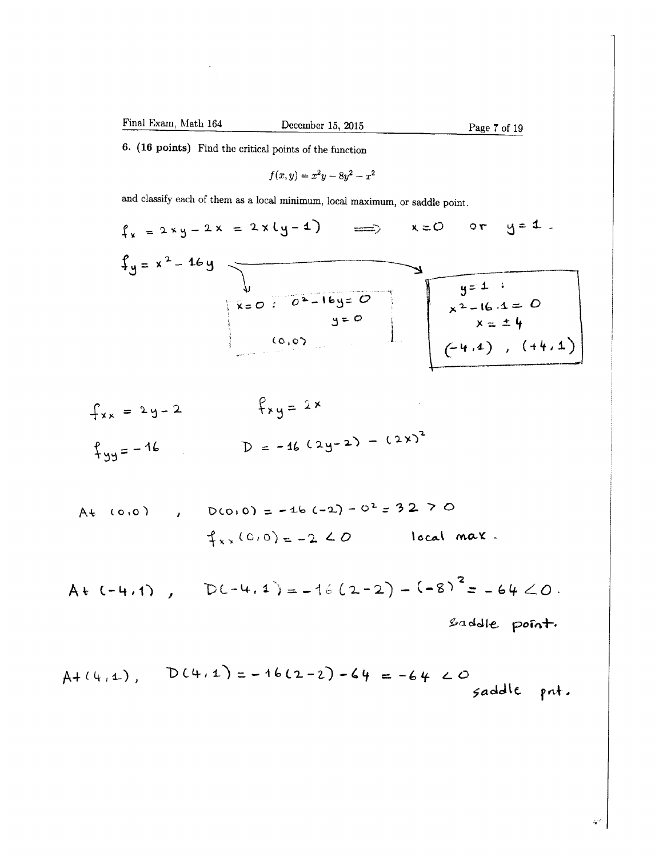December 15, 2015

Page 7 of 19

6. (16 points) Find the critical points of the function

$$
f(x,y) = x^2y - 8y^2 - x^2
$$

and classify each of them as a local minimum, local maximum, or saddle point.

$$
f_x = 2xy - 2x = 2x(y-4) \implies x=0 \text{ or } y=4.
$$
\n
$$
f_y = x^2 - 46y
$$
\n
$$
x=0: 0^2 - 16y = 0
$$
\n
$$
y=0
$$
\n
$$
y=0
$$
\n
$$
y=0
$$
\n
$$
x = \pm 4
$$
\n
$$
y=4: 0
$$
\n
$$
x^2 - 16.4 = 0
$$
\n
$$
x = \pm 4
$$
\n
$$
y=4: 0
$$
\n
$$
y=4: 0
$$
\n
$$
y=4: 0
$$
\n
$$
y=4: 0
$$
\n
$$
y=4: 0
$$
\n
$$
y=4: 0
$$
\n
$$
y=4: 0
$$
\n
$$
y=4: 0
$$
\n
$$
y=4: 0
$$
\n
$$
y=4: 0
$$
\n
$$
y=4: 0
$$
\n
$$
y=4: 0
$$
\n
$$
y=4: 0
$$
\n
$$
y=4: 0
$$
\n
$$
y=4: 0
$$
\n
$$
y=4: 0
$$
\n
$$
y=4: 0
$$
\n
$$
y=4: 0
$$
\n
$$
y=4: 0
$$
\n
$$
y=4: 0
$$
\n
$$
y=4: 0
$$
\n
$$
y=4: 0
$$
\n
$$
y=4: 0
$$
\n
$$
y=4: 0
$$
\n
$$
y=4: 0
$$
\n
$$
y=4: 0
$$
\n
$$
y=4: 0
$$
\n
$$
y=4: 0
$$
\n
$$
y=4: 0
$$
\n
$$
y=4: 0
$$
\n
$$
y=4: 0
$$
\n
$$
y=4: 0
$$
\n
$$
y=4: 0
$$
\n
$$
y=4: 0
$$
\n
$$
y=4: 0
$$
\n
$$
y
$$

$$
f_{xx} = 2y-2
$$
  
\n $f_{yy} = -16$   
\n $f_{yy} = -16$   
\n $f_{yy} = -16$   
\n $f_{yy} = 2x$ 

At (0,0) , D(0,0) = -46 (-2) - 0<sup>2</sup> = 32 > 0  
\n
$$
\uparrow_{x} (0,0) = -2
$$
 20 local max.

$$
A+(-4.1), \quad D(-4.1)=-16(2-2)-(-8)^{2}=-64<0.
$$

saddle point.

$$
A + (4, 1), \qquad D(4, 1) = -16(2-2) - 64 = -64 < 0
$$

à.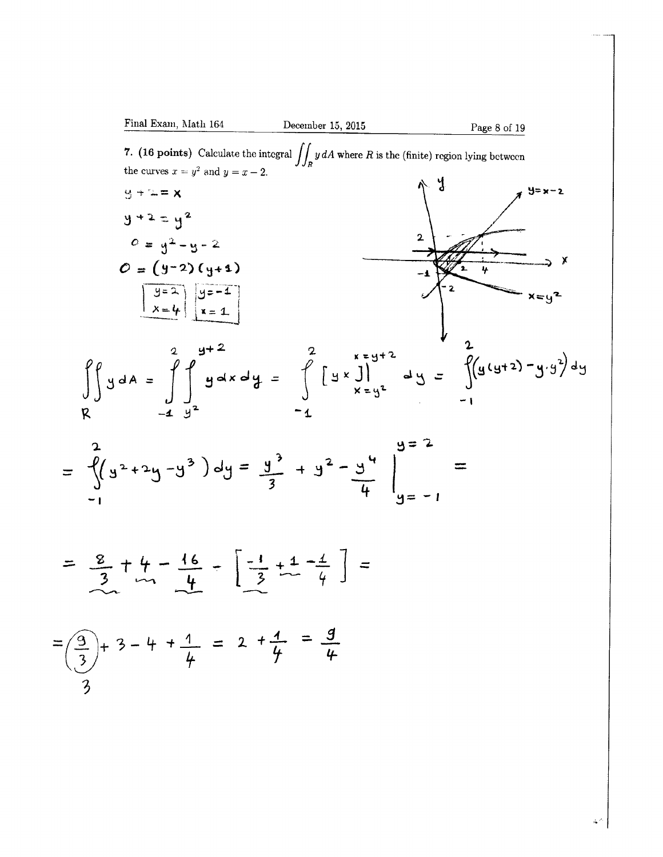

$$
= \frac{8}{3} + \frac{4}{11} - \frac{16}{4} - \left[ \frac{-1}{3} + \frac{1}{4} - \frac{1}{4} \right] =
$$

$$
=\left(\frac{9}{3}\right)+3-4+\frac{1}{4} = 2+\frac{1}{4} = \frac{9}{4}
$$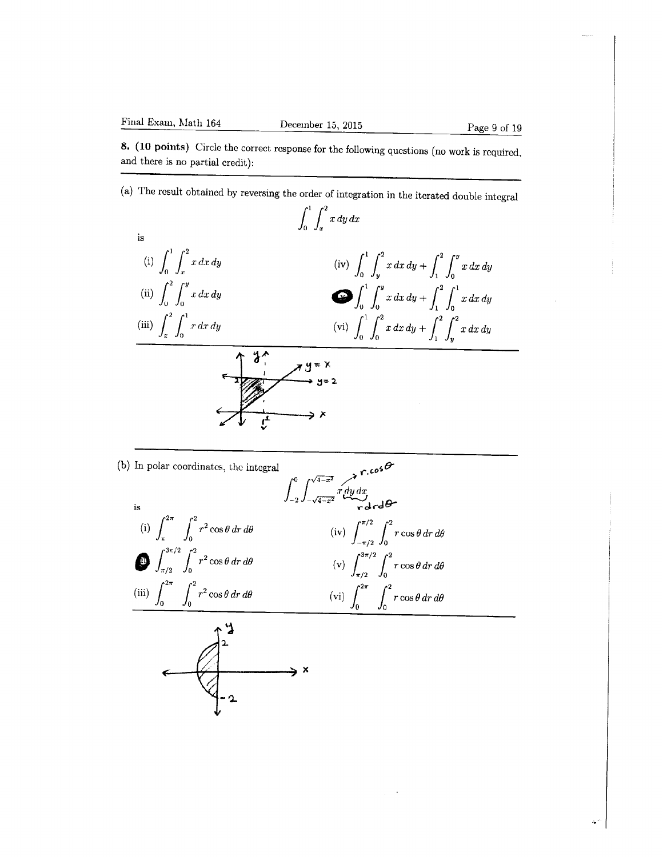8. (10 points) Circle the correct response for the following questions (no work is required, and there is no partial credit):

(a) The result obtained by reversing the order of integration in the iterated double integral



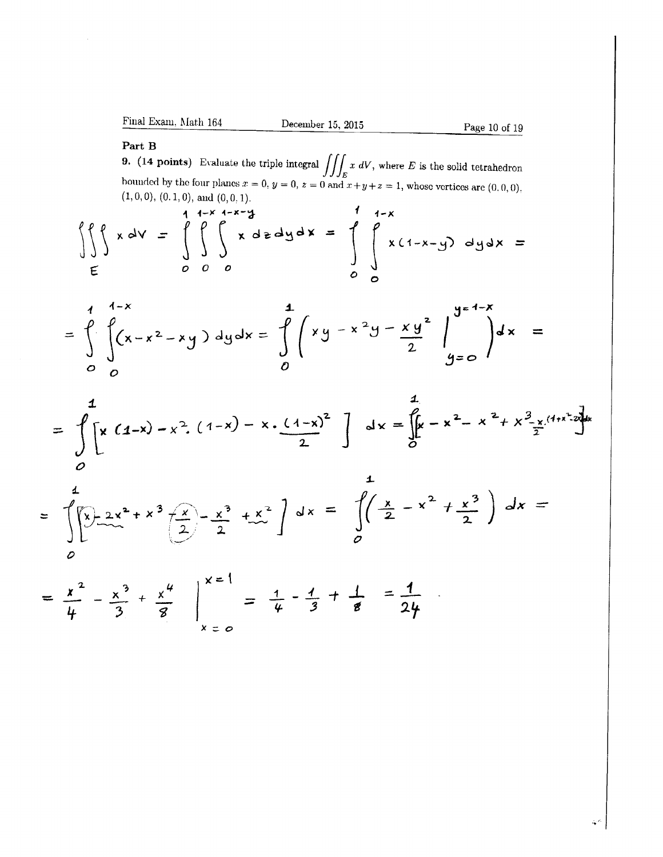Final Exam, Math 164

December 15, 2015

### Part B

**9.** (14 points) Evaluate the triple integral  $\iiint_E x \ dV$ , where E is the solid tetrahedron bounded by the four planes  $x = 0$ ,  $y = 0$ ,  $z = 0$  and  $x + y + z = 1$ , whose vertices are  $(0, 0, 0)$ .  $(1,0,0), (0,1,0),$  and  $(0,0,1)$ .  $\lambda$ 

$$
\iint_{E} x dV = \int_{0}^{1+x} \int_{0}^{1-x-3} x dz dy dx = \int_{0}^{1+x} \int_{0}^{1-x} x(1-x-y) dy dx =
$$

$$
= \int_{0}^{4} \int_{0}^{4-x} (x-x^{2}-xy) dy dx = \int_{0}^{4} \left( xy - x^{2}y - xy^{2} \right) \Big|_{0}^{4-x} = \int_{0}^{4-x} dx =
$$

$$
= \int_{0}^{1} \left[x(1-x)-x^{2}(1-x)-x \cdot \frac{(1-x)^{2}}{2}\right] dx = \int_{0}^{1} x-x^{2}-x^{2}+x^{3} \cdot \frac{x(1+x^{2}+1)}{2}dx
$$

z

$$
= \int_{0}^{4} \left[\sum_{x=0}^{x} 2x^{2} + x^{3} \left(\frac{x}{2}\right) - \frac{x^{3}}{2} + \frac{x^{2}}{2}\right] dx = \int_{0}^{4} \left(\frac{x}{2} - x^{2} + \frac{x^{3}}{2}\right) dx =
$$

$$
= \frac{x^2}{4} - \frac{x^3}{3} + \frac{x^4}{8} \bigg|_{x=0}^{x=1} = \frac{1}{4} - \frac{1}{3} + \frac{1}{8} = \frac{1}{24}.
$$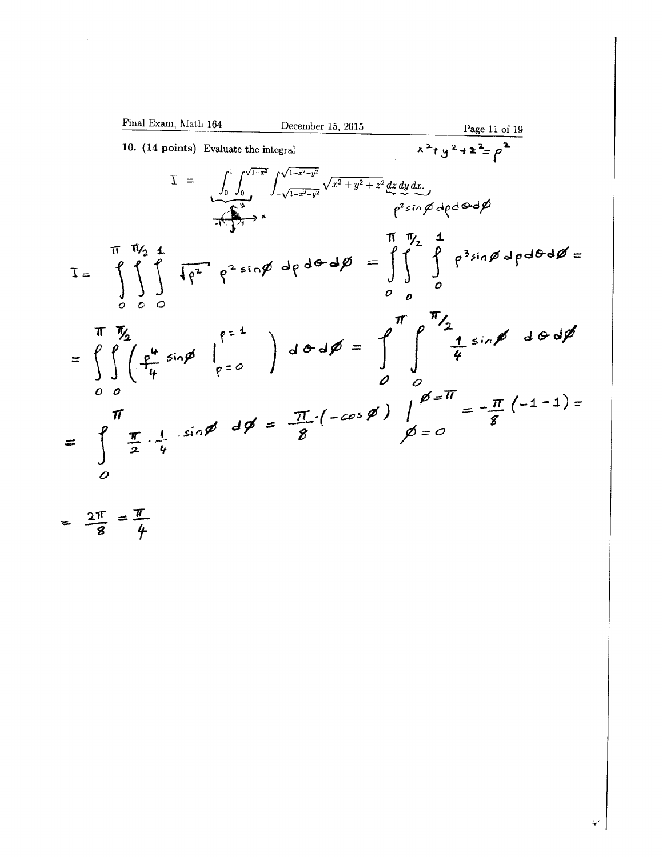Final Exam, Math 164

\nDecember 15, 2015

\n10. (14 points) Evaluate the integral

\n
$$
\overline{X}^2 + y^2 + z^2 = \rho^2
$$
\n
$$
\overline{X} = \int_0^1 \int_0^{\sqrt{1-x^2}} \int_{-\sqrt{1-x^2-y^2}}^{\sqrt{1-x^2-y^2}} \sqrt{x^2 + y^2 + z^2} \frac{dz \, dy \, dx}{\sqrt{x^2 + y^2 + z^2}} \, dx
$$
\n
$$
\overline{X} = \int_0^1 \int_0^1 \int_0^{\sqrt{1-x^2-y^2}} \sqrt{x^2 + y^2 + z^2} \frac{dz \, dy \, dx}{\sqrt{x^2 + y^2 + z^2}} \, dx
$$
\n
$$
\overline{X} = \int_0^1 \int_0^1 \int_0^1 \int_0^2 \sqrt{y^2 + y^2 + z^2} \, dy \, dx
$$
\n
$$
\overline{X} = \int_0^1 \int_0^1 \int_0^1 \sqrt{y^2 + y^2 + z^2} \, dy
$$
\n
$$
\overline{X} = \int_0^1 \int_0^1 \int_0^1 \sqrt{y^2 + y^2 + z^2} \, dx
$$
\n
$$
\overline{X} = \int_0^1 \int_0^1 \int_0^1 \sqrt{y^2 + y^2 + z^2} \, dx
$$
\n
$$
\overline{X} = \int_0^1 \int_0^1 \int_0^1 \sqrt{y^2 + y^2 + z^2} \, dy
$$
\n
$$
\overline{X} = \int_0^1 \int_0^1 \sqrt{y^2 + y^2 + z^2} \, dx
$$
\n
$$
\overline{X} = \int_0^1 \int_0^1 \sqrt{y^2 + y^2 + z^2} \, dx
$$
\n
$$
\overline{X} = \int_0^1 \int_0^1 \sqrt{y^2 + y^2 + z^2} \, dx
$$
\n
$$
\overline{X} = \int_0^1 \int_0^1 \sqrt{y^2 + y^2 + z^2} \, dx
$$
\n
$$
\overline{X} = \int_0^1 \int_0^1 \sqrt{y^2 + y^2 + z^2} \, dx
$$
\

=  $\frac{2\pi}{8}$  =  $\frac{\pi}{4}$ 

 $\label{eq:2.1} \frac{1}{\sqrt{2}}\int_{\mathbb{R}^3}\frac{1}{\sqrt{2}}\left(\frac{1}{\sqrt{2}}\right)^2\frac{1}{\sqrt{2}}\left(\frac{1}{\sqrt{2}}\right)^2\frac{1}{\sqrt{2}}\left(\frac{1}{\sqrt{2}}\right)^2.$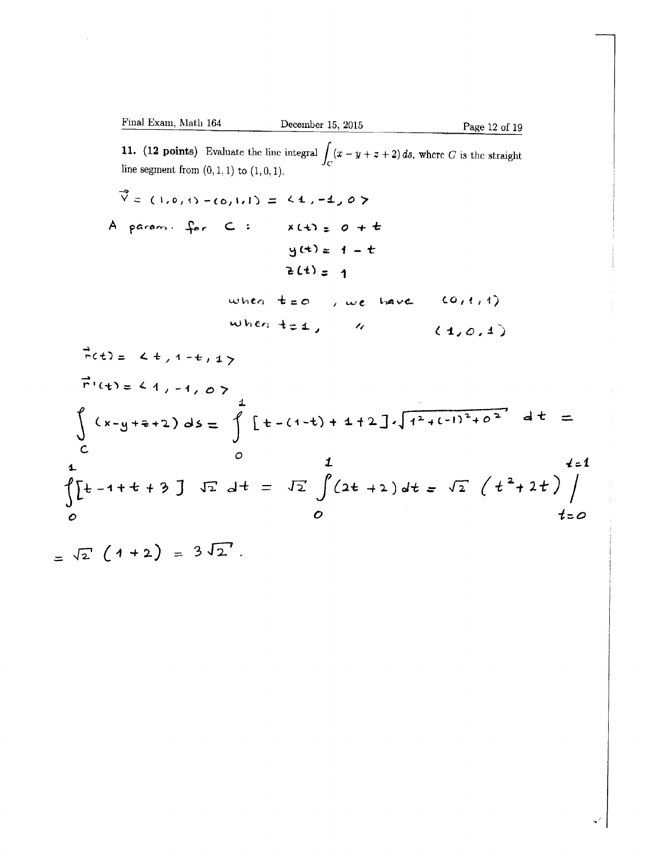Final Exam, Math 164

\nDecember 15, 2015

\nPage 12 of 19

\n11. (12 points) Evaluate the line integral 
$$
\int_C (x - y + z + 2) \, ds
$$
, where *C* is the straight line segment from (0,1,1) to (1,0,1).

\n $\vec{v} = (1, 0, 1) - (0, 1, 1) = \langle 4, -4, 0 \rangle$ 

\nA param. for  $C: \quad x(t) = 0 + t$ 

\n $y(t) = 1 - t$ 

\n $z(t) = 1$ 

\nWhen  $t = 0$ , we have  $(0, 1, 1)$ 

\n $\vec{v} \cdot (t) = \langle t, 1 - t, 1 \rangle$ 

\n $\vec{r} \cdot (t) = \langle t, 1 - t, 1 \rangle$ 

\n $\vec{r} \cdot (t) = \langle t, 1 - t, 1 \rangle$ 

\n $\vec{r} \cdot (t) = \langle t, 1 - t, 0 \rangle$ 

\n $\int_C (x - y + z + 2) \, ds = \int_C \left[ t - (1 - t) + 4 + 2 \right] \sqrt{1^2 + (-1)^2 + 0^2} \, dt = \int_C$ 

\n $\int_C \left[ t - 1 + t + 3 \right] \sqrt{1^2 + 4t} \, dt = \sqrt{2} \int (2t + 2) \, dt = \sqrt{2} \left( t^2 + 2t \right) \int_C$ 

\nto

=  $\sqrt{2} (1 + 2) = 3 \sqrt{2}$ .

 $\sim 10^6$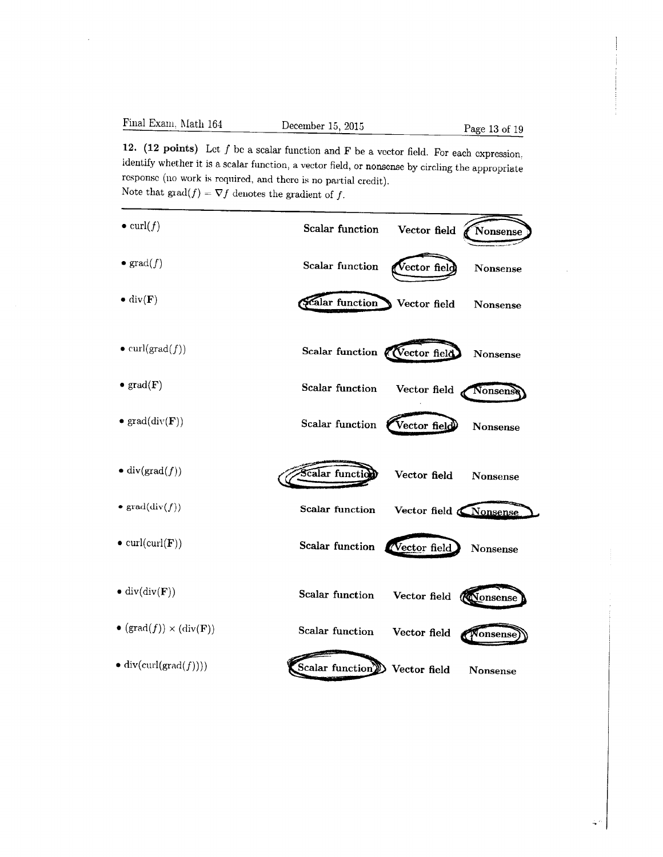12. (12 points) Let  $f$  be a scalar function and  $\bf{F}$  be a vector field. For each expression, identify whether it is a scalar function, a vector field, or nonsense by circling the appropriate response (110 work is required, and there is no partial credit). Note that  $\text{grad}(f) = \nabla f$  denotes the gradient of f.

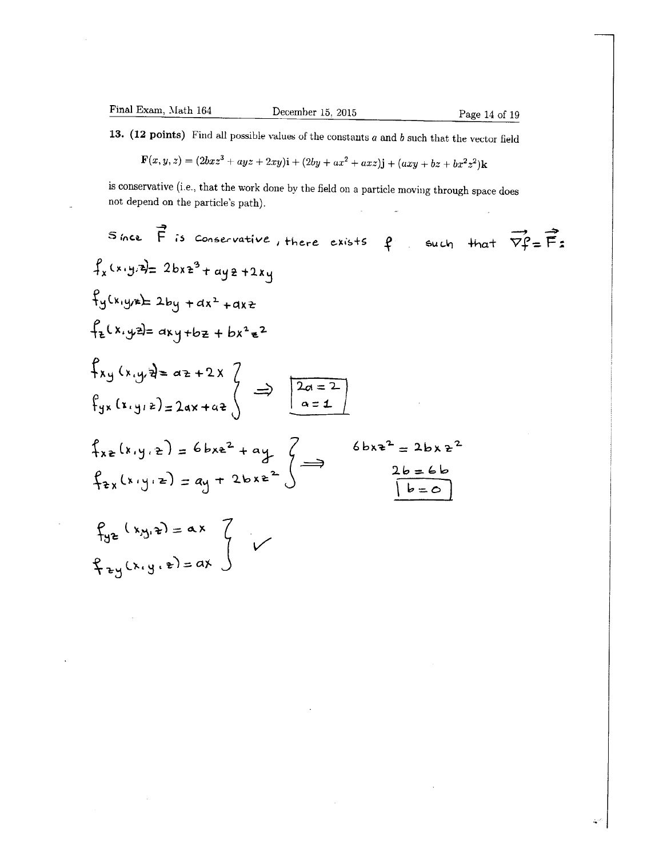$\sim$ 

13. (12 points) Find all possible values of the constants  $a$  and  $b$  such that the vector field

$$
\mathbf{F}(x, y, z) = (2bxz3 + ayz + 2xy)\mathbf{i} + (2by + ax2 + axz)\mathbf{j} + (axy + bz + bx2z2)\mathbf{k}
$$

is conservative (i.e., that the work done by the field on a particle moving through space does not depend on the particle's path).  $\overline{\phantom{a}}$ 

Since 
$$
\vec{F}
$$
 is conservative, there exists  $\hat{F}$  such that  $\vec{v}f = \vec{F}$ :  
\n $f_x(x,y,z) = 2bxz^3 + ayz + 2xy$   
\n $f_y(x,y) = 2by + ax^2 + axz$   
\n $f_z(x,yz) = axy + bz + bx^2z^2$   
\n $f_{yx}(x,y,z) = 2ax + az$   
\n $\int_{xz} (x,y,z) = 6bxe^2 + ay$   
\n $f_{yx}(x,y,z) = a^2x^2 + ay$   
\n $f_{yx}(x,y,z) = ay + 2bxz^2$   
\n $f_{xy}(x,y,z) = ax$   
\n $f_{yz}(x,y,z) = ax$ 

 $\mathcal{A}$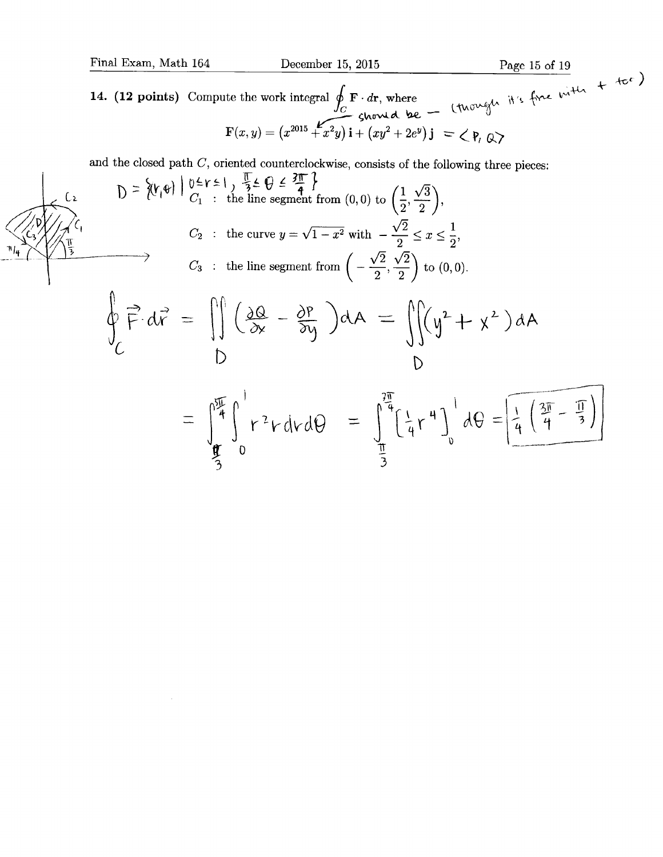$\sim$ 

14. (12 points) Compute the work integral  $\oint_C \mathbf{F} \cdot d\mathbf{r}$ , where  $\mathbf{F}(x, y) = (x^{2015} + x^2y)\mathbf{i} + (xy^2 + 2e^y)\mathbf{j} = \langle \mathbf{P}, \mathbf{Q} \rangle$ 

and the closed path  $C$ , oriented counterclockwise, consists of the following three pieces:

$$
0 = \left\{ (r_1 e) \mid \frac{0 \le r \le 1}{C_1} \right\} \frac{\sqrt{3} \le \theta \le \frac{3\pi}{4}}{\sqrt{11}} \}
$$
\n
$$
C_2 : \text{ the curve } y = \sqrt{1 - x^2} \text{ with } -\frac{\sqrt{2}}{2} \le x \le \frac{1}{2},
$$
\n
$$
C_3 : \text{ the line segment from } \left(-\frac{\sqrt{2}}{2}, \frac{\sqrt{2}}{2}\right) \text{ to } (0, 0).
$$
\n
$$
\oint_C \vec{F} \cdot d\vec{v} = \iiint \left(\frac{\partial Q}{\partial x} - \frac{\partial P}{\partial y}\right) dA = \iiint_V (y^2 + y^2) dA
$$
\n
$$
= \int_0^{\frac{5\pi}{4}} \int_0^1 r^2 r dr d\theta = \int_0^{\frac{2\pi}{4}} \left(\frac{1}{4} r^4\right) \Big|_0^1 d\theta = \left[\frac{1}{4} \left(\frac{3\pi}{4} - \frac{\pi}{3}\right)\right]
$$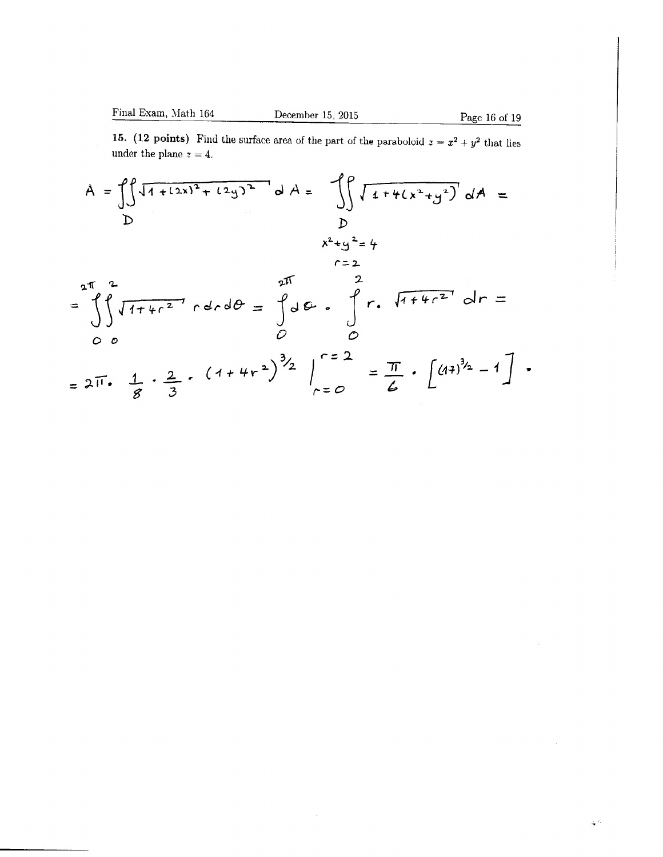$\mathcal{L}^{(0)}$ 

15. (12 points) Find the surface area of the part of the paraboloid  $z = x^2 + y^2$  that lies under the plane  $z = 4$ .

$$
A = \int \int \sqrt{1 + (2x)^{2} + (2y)^{2}} dA = \int \int \sqrt{1 + 4(x^{2} + y^{2})} dA =
$$
\n
$$
= \int_{0}^{2\pi} \sqrt{1 + 4x^{2}} \int_{0}^{2\pi} 4x dx = \int_{0}^{2\pi} \int_{0}^{2\pi} 4x dx = \int_{0}^{2\pi} \int_{0}^{2\pi} 4x dx = \int_{0}^{2\pi} \int_{0}^{2\pi} 4x dx = \int_{0}^{2\pi} \int_{0}^{2\pi} 4x dx = \int_{0}^{2\pi} \int_{0}^{2\pi} 4x dx = \int_{0}^{2\pi} \int_{0}^{2\pi} 4x dx = \int_{0}^{2\pi} \int_{0}^{2\pi} 4x dx = \int_{0}^{2\pi} \int_{0}^{2\pi} 4x dx = \int_{0}^{2\pi} \int_{0}^{2\pi} 4x dx = \int_{0}^{2\pi} \int_{0}^{2\pi} 4x dx = \int_{0}^{2\pi} \int_{0}^{2\pi} 4x dx = \int_{0}^{2\pi} \int_{0}^{2\pi} 4x dx = \int_{0}^{2\pi} \int_{0}^{2\pi} 4x dx = \int_{0}^{2\pi} \int_{0}^{2\pi} 4x dx = \int_{0}^{2\pi} \int_{0}^{2\pi} 4x dx = \int_{0}^{2\pi} \int_{0}^{2\pi} 4x dx = \int_{0}^{2\pi} \int_{0}^{2\pi} 4x dx = \int_{0}^{2\pi} \int_{0}^{2\pi} 4x dx = \int_{0}^{2\pi} \int_{0}^{2\pi} 4x dx = \int_{0}^{2\pi} \int_{0}^{2\pi} 4x dx = \int_{0}^{2\pi} \int_{0}^{2\pi} 4x dx = \int_{0}^{2\pi} \int_{0}^{2\pi} 4x dx = \int_{0}^{2\pi} \int_{0}^{2\pi} 4x dx = \int_{0}^{2\pi} \int_{0}^{2\pi} 4x dx = \int_{0}^{2\pi} \int_{0}^{2\pi} 4x dx = \int_{0}^{2\pi} \int_{0}^{2\pi} 4x dx = \int_{0}^{2\pi
$$